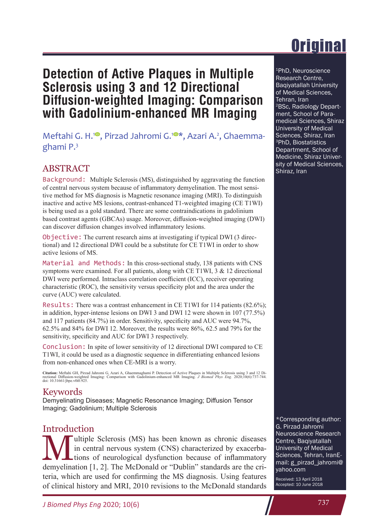## **Detection of Active Plaques in Multiple Sclerosis using 3 and 12 Directional Diffusion-weighted Imaging: Comparison with Gadolinium-enhanced MR Imaging**

Meftahi G. H.<sup>[1](http://orcid.org/0000-0002-2683-1625)0</sup>, Pirzad Jahromi G.<sup>10\*</sup>, Azari A.<sup>2</sup>, Ghaemmaghami P.3

## ABSTRACT

Background: Multiple Sclerosis (MS), distinguished by aggravating the function of central nervous system because of inflammatory demyelination. The most sensitive method for MS diagnosis is Magnetic resonance imaging (MRI). To distinguish inactive and active MS lesions, contrast-enhanced T1-weighted imaging (CE T1WI) is being used as a gold standard. There are some contraindications in gadolinium based contrast agents (GBCAs) usage. Moreover, diffusion-weighted imaging (DWI) can discover diffusion changes involved inflammatory lesions.

Objective: The current research aims at investigating if typical DWI (3 directional) and 12 directional DWI could be a substitute for CE T1WI in order to show active lesions of MS.

Material and Methods: In this cross-sectional study, 138 patients with CNS symptoms were examined. For all patients, along with CE T1WI, 3 & 12 directional DWI were performed. Intraclass correlation coefficient (ICC), receiver operating characteristic (ROC), the sensitivity versus specificity plot and the area under the curve (AUC) were calculated.

Results: There was a contrast enhancement in CE T1WI for 114 patients (82.6%); in addition, hyper-intense lesions on DWI 3 and DWI 12 were shown in 107 (77.5%) and 117 patients (84.7%) in order. Sensitivity, specificity and AUC were 94.7%, 62.5% and 84% for DWI 12. Moreover, the results were 86%, 62.5 and 79% for the sensitivity, specificity and AUC for DWI 3 respectively.

Conclusion: In spite of lower sensitivity of 12 directional DWI compared to CE T1WI, it could be used as a diagnostic sequence in differentiating enhanced lesions from non-enhanced ones when CE-MRI is a worry.

Citation: Meftahi GH, Pirzad Jahromi G, Azari A, Ghaemmaghami P. Detection of Active Plaques in Multiple Sclerosis using 3 and 12 Di-<br>rectional Diffusion-weighted Imaging: Comparison with Gadolinium-enhanced MR Imaging. *J* 

## Keywords

Demyelinating Diseases; Magnetic Resonance Imaging; Diffusion Tensor Imaging; Gadolinium; Multiple Sclerosis

## **Introduction**

Wultiple Sclerosis (MS) has been known as chronic diseases<br>in central nervous system (CNS) characterized by exacerba-<br>tions of neurological dysfunction because of inflammatory<br>demyslination [1, 2]. The McDonald or "Dublin" in central nervous system (CNS) characterized by exacerbademyelination [1, 2]. The McDonald or "Dublin" standards are the criteria, which are used for confirming the MS diagnosis. Using features of clinical history and MRI, 2010 revisions to the McDonald standards

\*Corresponding author: G. Pirzad Jahromi Neuroscience Research Centre, Baqiyatallah University of Medical Sciences, Tehran, IranEmail: g\_pirzad\_jahromi@ yahoo.com

Received: 13 April 2018 Accepted: 10 June 2018

# **Original**

1PhD, Neuroscience Research Centre, Baqiyatallah University of Medical Sciences, Tehran, Iran 2BSc, Radiology Department, School of Paramedical Sciences, Shiraz University of Medical Sciences, Shiraz, Iran 3PhD, Biostatistics Department, School of Medicine, Shiraz University of Medical Sciences, Shiraz, Iran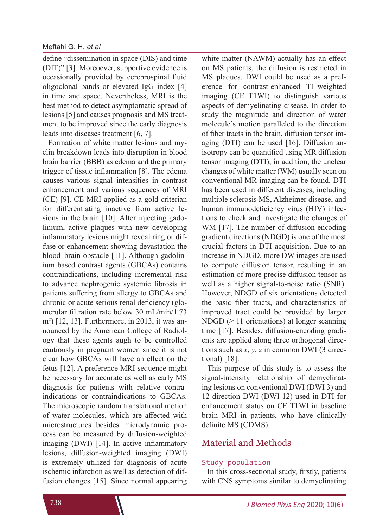#### Meftahi G. H. *et al*

define "dissemination in space (DIS) and time (DIT)" [3]. Moreoever, supportive evidence is occasionally provided by cerebrospinal fluid oligoclonal bands or elevated IgG index [4] in time and space. Nevertheless, MRI is the best method to detect asymptomatic spread of lesions [5] and causes prognosis and MS treatment to be improved since the early diagnosis leads into diseases treatment [6, 7].

Formation of white matter lesions and myelin breakdown leads into disruption in blood brain barrier (BBB) as edema and the primary trigger of tissue inflammation [8]. The edema causes various signal intensities in contrast enhancement and various sequences of MRI (CE) [9]. CE-MRI applied as a gold criterian for differentiating inactive from active lesions in the brain [10]. After injecting gadolinium, active plaques with new developing inflammatory lesions might reveal ring or diffuse or enhancement showing devastation the blood–brain obstacle [11]. Although gadolinium based contrast agents (GBCAs) contains contraindications, including incremental risk to advance nephrogenic systemic fibrosis in patients suffering from allergy to GBCAs and chronic or acute serious renal deficiency (glomerular filtration rate below 30 mL/min/1.73 m<sup>2</sup> ) [12, 13]. Furthermore, in 2013, it was announced by the American College of Radiology that these agents augh to be controlled cautiously in pregnant women since it is not clear how GBCAs will have an effect on the fetus [12]. A preference MRI sequence might be necessary for accurate as well as early MS diagnosis for patients with relative contraindications or contraindications to GBCAs. The microscopic random translational motion of water molecules, which are affected with microstructures besides microdynamic process can be measured by diffusion-weighted imaging (DWI) [14]. In active inflammatory lesions, diffusion-weighted imaging (DWI) is extremely utilized for diagnosis of acute ischemic infarction as well as detection of diffusion changes [15]. Since normal appearing

white matter (NAWM) actually has an effect on MS patients, the diffusion is restricted in MS plaques. DWI could be used as a preference for contrast-enhanced T1-weighted imaging (CE T1WI) to distinguish various aspects of demyelinating disease. In order to study the magnitude and direction of water molecule's motion paralleled to the direction of fiber tracts in the brain, diffusion tensor imaging (DTI) can be used [16]. Diffusion anisotropy can be quantified using MR diffusion tensor imaging (DTI); in addition, the unclear changes of white matter (WM) usually seen on conventional MR imaging can be found. DTI has been used in different diseases, including multiple sclerosis MS, Alzheimer disease, and human immunodeficiency virus (HIV) infections to check and investigate the changes of WM [17]. The number of diffusion-encoding gradient directions (NDGD) is one of the most crucial factors in DTI acquisition. Due to an increase in NDGD, more DW images are used to compute diffusion tensor, resulting in an estimation of more precise diffusion tensor as well as a higher signal-to-noise ratio (SNR). However, NDGD of six orientations detected the basic fiber tracts, and characteristics of improved tract could be provided by larger NDGD  $(\geq 11$  orientations) at longer scanning time [17]. Besides, diffusion-encoding gradients are applied along three orthogonal directions such as *x*, *y*, *z* in common DWI (3 directional) [18].

This purpose of this study is to assess the signal-intensity relationship of demyelinating lesions on conventional DWI (DWI 3) and 12 direction DWI (DWI 12) used in DTI for enhancement status on CE T1WI in baseline brain MRI in patients, who have clinically definite MS (CDMS).

## Material and Methods

#### Study population

In this cross-sectional study, firstly, patients with CNS symptoms similar to demyelinating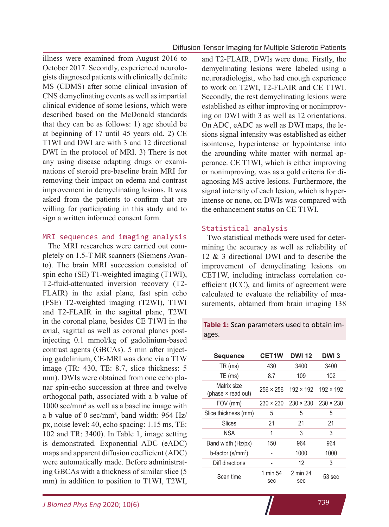illness were examined from August 2016 to October 2017. Secondly, experienced neurologists diagnosed patients with clinically definite MS (CDMS) after some clinical invasion of CNS demyelinating events as well as impartial clinical evidence of some lesions, which were described based on the McDonald standards that they can be as follows: 1) age should be at beginning of 17 until 45 years old. 2) CE T1WI and DWI are with 3 and 12 directional DWI in the protocol of MRI. 3) There is not any using disease adapting drugs or examinations of steroid pre-baseline brain MRI for removing their impact on edema and contrast improvement in demyelinating lesions. It was asked from the patients to confirm that are willing for participating in this study and to sign a written informed consent form.

#### MRI sequences and imaging analysis

The MRI researches were carried out completely on 1.5-T MR scanners (Siemens Avanto). The brain MRI succession consisted of spin echo (SE) T1-weighted imaging (T1WI), T2-fluid-attenuated inversion recovery (T2- FLAIR) in the axial plane, fast spin echo (FSE) T2-weighted imaging (T2WI), T1WI and T2-FLAIR in the sagittal plane, T2WI in the coronal plane, besides CE T1WI in the axial, sagittal as well as coronal planes postinjecting 0.1 mmol/kg of gadolinium-based contrast agents (GBCAs). 5 min after injecting gadolinium, CE-MRI was done via a T1W image (TR: 430, TE: 8.7, slice thickness: 5 mm). DWIs were obtained from one echo planar spin-echo succession at three and twelve orthogonal path, associated with a b value of 1000 sec/mm2 as well as a baseline image with a b value of 0 sec/mm2 , band width: 964 Hz/ px, noise level: 40, echo spacing: 1.15 ms, TE: 102 and TR: 3400). In Table 1, image setting is demonstrated. Exponential ADC (eADC) maps and apparent diffusion coefficient (ADC) were automatically made. Before administrating GBCAs with a thickness of similar slice (5 mm) in addition to position to T1WI, T2WI,

and T2-FLAIR, DWIs were done. Firstly, the demyelinating lesions were labeled using a neuroradiologist, who had enough experience to work on T2WI, T2-FLAIR and CE T1WI. Secondly, the rest demyelinating lesions were established as either improving or nonimproving on DWI with 3 as well as 12 orientations. On ADC, eADC as well as DWI maps, the lesions signal intensity was established as either isointense, hyperintense or hypointense into the arounding white matter with normal apperance. CE T1WI, which is either improving or nonimproving, was as a gold criteria for diagnosing MS active lesions. Furthermore, the signal intensity of each lesion, which is hyperintense or none, on DWIs was compared with the enhancement status on CE T1WI.

#### Statistical analysis

Two statistical methods were used for determining the accuracy as well as reliability of 12 & 3 directional DWI and to describe the improvement of demyelinating lesions on CET1W, including intraclass correlation coefficient (ICC), and limits of agreement were calculated to evaluate the reliability of measurements, obtained from brain imaging 138

**Table 1:** Scan parameters used to obtain images.

| <b>Sequence</b>                   | <b>CET1W</b>     | <b>DWI 12</b>    | DWI <sub>3</sub> |
|-----------------------------------|------------------|------------------|------------------|
| $TR$ (ms)                         | 430              | 3400             | 3400             |
| $TE$ (ms)                         | 8.7              | 109              | 102              |
| Matrix size<br>(phase × read out) | $256 \times 256$ | $192 \times 192$ | $192 \times 192$ |
| FOV (mm)                          | $230 \times 230$ | $230 \times 230$ | $230 \times 230$ |
| Slice thickness (mm)              | 5                | 5                | 5                |
| Slices                            | 21               | 21               | 21               |
| NSA                               | 1                | 3                | 3                |
| Band width (Hz/px)                | 150              | 964              | 964              |
| b-factor (s/mm <sup>2</sup> )     |                  | 1000             | 1000             |
| Diff directions                   |                  | 12               | 3                |
| Scan time                         | 1 min 54<br>sec  | 2 min 24<br>sec  | 53 sec           |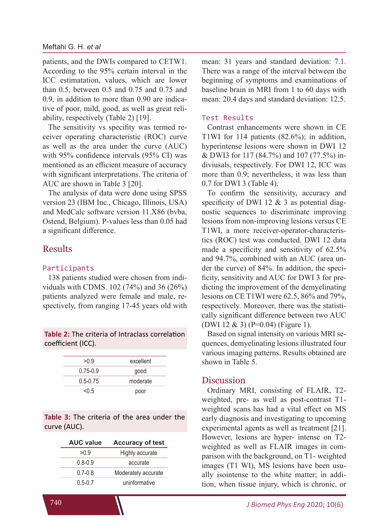patients, and the DWIs compared to CETW1. According to the 95% certain interval in the ICC estimatation, values, which are lower than 0.5, between 0.5 and 0.75 and 0.75 and 0.9, in addition to more than 0.90 are indicative of poor, mild, good, as well as great reliability, respectively (Table 2) [19].

The sensitivity vs specifity was termed receiver operating characteristic (ROC) curve as well as the area under the curve (AUC) with 95% confidence intervals (95% CI) was mentioned as an efficient measure of accuracy with significant interpretations. The criteria of AUC are shown in Table 3 [20].

The analysis of data were done using SPSS version 23 (IBM Inc., Chicago, Illinois, USA) and MedCalc software version 11.X86 (bvba, Ostend, Belgium). P-values less than 0.05 had a significant difference.

## Results

#### Participants

138 patients studied were chosen from individuals with CDMS. 102 (74%) and 36 (26%) patients analyzed were female and male, respectively, from ranging 17-45 years old with

**Table 2:** The criteria of Intraclass correlation coefficient (ICC).

| >0.9         | excellent |
|--------------|-----------|
| $0.75 - 0.9$ | good      |
| $0.5 - 0.75$ | moderate  |
| < 0.5        | poor      |

**Table 3:** The criteria of the area under the curve (AUC).

| <b>AUC value</b> | <b>Accuracy of test</b> |
|------------------|-------------------------|
| >0.9             | Highly accurate         |
| $0.8 - 0.9$      | accurate                |
| $0.7 - 0.8$      | Moderately accurate     |
| $0.5 - 0.7$      | uninformative           |

mean: 31 years and standard deviation: 7.1. There was a range of the interval between the beginning of symptoms and examinations of baseline brain in MRI from 1 to 60 days with mean: 20.4 days and standard deviation: 12.5.

#### Test Results

Contrast enhancements were shown in CE T1WI for 114 patients (82.6%); in addition, hyperintense lesions were shown in DWI 12 & DWI3 for 117 (84.7%) and 107 (77.5%) indiviusals, respectively. For DWI 12, ICC was more than 0.9; nevertheless, it was less than 0.7 for DWI 3 (Table 4).

To confirm the sensitivity, accuracy and specificity of DWI 12 & 3 as potential diagnostic sequences to discriminate improving lesions from non-improving lesions versus CE T1WI, a more receiver-operator-characteristics (ROC) test was conducted. DWI 12 data made a specificity and sensitivity of 62.5% and 94.7%, combined with an AUC (area under the curve) of 84%. In addition, the specificity, sensitivity and AUC for DWI 3 for predicting the improvement of the demyelinating lesions on CE T1WI were 62.5, 86% and 79%, respectively. Moreover, there was the statistically significant difference between two AUC (DWI 12 & 3) (P=0.04) (Figure 1).

Based on signal intensity on various MRI sequences, demyelinating lesions illustrated four various imaging patterns. Results obtained are shown in Table 5.

#### Discussion

Ordinary MRI, consisting of FLAIR, T2 weighted, pre- as well as post-contrast T1 weighted scans has had a vital effect on MS early diagnosis and investigating to upcoming experimental agents as well as treatment [21]. However, lesions are hyper- intense on T2 weighted as well as FLAIR images in comparison with the background, on T1- weighted images (T1 WI), MS lesions have been usually isointense to the white matter; in addition, when tissue injury, which is chronic, or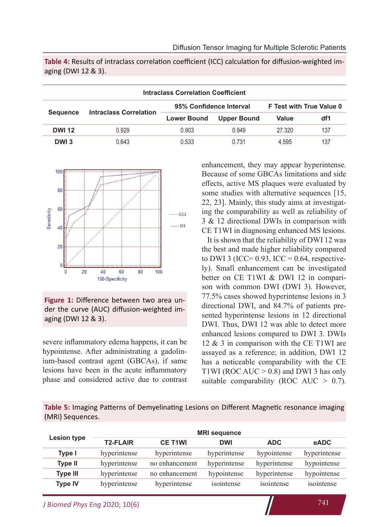**Table 4:** Results of intraclass correlation coefficient (ICC) calculation for diffusion-weighted imaging (DWI 12 & 3).

| <b>Intraclass Correlation Coefficient</b> |                               |                         |                    |                          |     |
|-------------------------------------------|-------------------------------|-------------------------|--------------------|--------------------------|-----|
| <b>Sequence</b>                           | <b>Intraclass Correlation</b> | 95% Confidence Interval |                    | F Test with True Value 0 |     |
|                                           |                               | <b>Lower Bound</b>      | <b>Upper Bound</b> | Value                    | df1 |
| <b>DWI 12</b>                             | 0.929                         | 0.903                   | 0.949              | 27.320                   | 137 |
| DWI <sub>3</sub>                          | 0.643                         | 0.533                   | 0 731              | 4.595                    | 137 |



**Figure 1:** Difference between two area under the curve (AUC) diffusion-weighted imaging (DWI 12 & 3).

severe inflammatory edema happens, it can be hypointense. After administrating a gadolinium-based contrast agent (GBCAs), if same lesions have been in the acute inflammatory phase and considered active due to contrast enhancement, they may appear hyperintense. Because of some GBCAs limitations and side effects, active MS plaques were evaluated by some studies with alternative sequences [15, 22, 23]. Mainly, this study aims at investigating the comparability as well as reliability of 3 & 12 directional DWIs in comparison with CE T1WI in diagnosing enhanced MS lesions.

It is shown that the reliability of DWI 12 was the best and made higher reliability compared to DWI 3 (ICC=  $0.93$ , ICC =  $0.64$ , respectively). Small enhancement can be investigated better on CE T1WI & DWI 12 in comparison with common DWI (DWI 3). However, 77.5% cases showed hyperintense lesions in 3 directional DWI, and 84.7% of patients presented hyperintense lesions in 12 directional DWI. Thus, DWI 12 was able to detect more enhanced lesions compared to DWI 3. DWIs 12 & 3 in comparison with the CE T1WI are assayed as a reference; in addition, DWI 12 has a noticeable comparability with the CE T1WI (ROC  $AUC > 0.8$ ) and DWI 3 has only suitable comparability (ROC AUC  $> 0.7$ ).

**Table 5:** Imaging Patterns of Demyelinating Lesions on Different Magnetic resonance imaging (MRI) Sequences.

| <b>Lesion type</b> | <b>MRI</b> sequence |                |              |              |              |
|--------------------|---------------------|----------------|--------------|--------------|--------------|
|                    | <b>T2-FLAIR</b>     | <b>CE T1WI</b> | <b>DWI</b>   | <b>ADC</b>   | eADC         |
| <b>Type I</b>      | hyperintense        | hyperintense   | hyperintense | hypointense  | hyperintense |
| <b>Type II</b>     | hyperintense        | no enhancement | hyperintense | hyperintense | hypointense  |
| <b>Type III</b>    | hyperintense        | no enhancement | hypointense  | hyperintense | hypointense  |
| <b>Type IV</b>     | hyperintense        | hyperintense   | isointense   | isointense   | isointense   |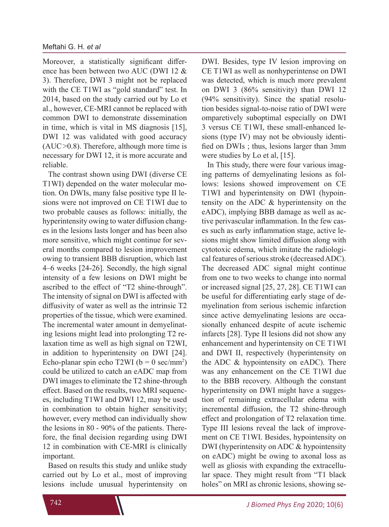Moreover, a statistically significant difference has been between two AUC (DWI 12 & 3). Therefore, DWI 3 might not be replaced with the CE T1WI as "gold standard" test. In 2014, based on the study carried out by Lo et al., however, CE-MRI cannot be replaced with common DWI to demonstrate dissemination in time, which is vital in MS diagnosis [15], DWI 12 was validated with good accuracy (AUC>0.8). Therefore, although more time is necessary for DWI 12, it is more accurate and reliable.

The contrast shown using DWI (diverse CE T1WI) depended on the water molecular motion. On DWIs, many false positive type II lesions were not improved on CE T1WI due to two probable causes as follows: initially, the hyperintensity owing to water diffusion changes in the lesions lasts longer and has been also more sensitive, which might continue for several months compared to lesion improvement owing to transient BBB disruption, which last 4–6 weeks [24-26]. Secondly, the high signal intensity of a few lesions on DWI might be ascribed to the effect of "T2 shine-through". The intensity of signal on DWI is affected with diffusivity of water as well as the intrinsic T2 properties of the tissue, which were examined. The incremental water amount in demyelinating lesions might lead into prolongting T2 relaxation time as well as high signal on T2WI, in addition to hyperintensity on DWI [24]. Echo-planar spin echo T2WI ( $b = 0$  sec/mm<sup>2</sup>) could be utilized to catch an eADC map from DWI images to eliminate the T2 shine-through effect. Based on the results, two MRI sequences, including T1WI and DWI 12, may be used in combination to obtain higher sensitivity; however, every method can individually show the lesions in 80 - 90% of the patients. Therefore, the final decision regarding using DWI 12 in combination with CE-MRI is clinically important.

Based on results this study and unlike study carried out by Lo et al., most of improving lesions include unusual hyperintensity on DWI. Besides, type IV lesion improving on CE T1WI as well as nonhyperintense on DWI was detected, which is much more prevalent on DWI 3 (86% sensitivity) than DWI 12 (94% sensitivity). Since the spatial resolution besides signal-to-noise ratio of DWI were omparetively suboptimal especially on DWI 3 versus CE T1WI, these small-enhanced lesions (type IV) may not be obviously identified on DWIs ; thus, lesions larger than 3mm were studies by Lo et al, [15].

In This study, there were four various imaging patterns of demyelinating lesions as follows: lesions showed improvement on CE T1WI and hyperintensity on DWI (hypointensity on the ADC & hyperintensity on the eADC), implying BBB damage as well as active perivascular inflammation. In the few cases such as early inflammation stage, active lesions might show limited diffusion along with cytotoxic edema, which imitate the radiological features of serious stroke (decreased ADC). The decreased ADC signal might continue from one to two weeks to change into normal or increased signal [25, 27, 28]. CE T1WI can be useful for differentiating early stage of demyelination from serious ischemic infarction since active demyelinating lesions are occasionally enhanced despite of acute ischemic infarcts [28]. Type II lesions did not show any enhancement and hyperintensity on CE T1WI and DWI II, respectively (hyperintensity on the ADC & hypointensity on eADC). There was any enhancement on the CE T1WI due to the BBB recovery. Although the constant hyperintensity on DWI might have a suggestion of remaining extracellular edema with incremental diffusion, the T2 shine-through effect and prolongation of T2 relaxation time. Type III lesions reveal the lack of improvement on CE T1WI. Besides, hypointensity on DWI (hyperintensity on ADC & hypointensity on eADC) might be owing to axonal loss as well as gliosis with expanding the extracellular space. They might result from "T1 black holes" on MRI as chronic lesions, showing se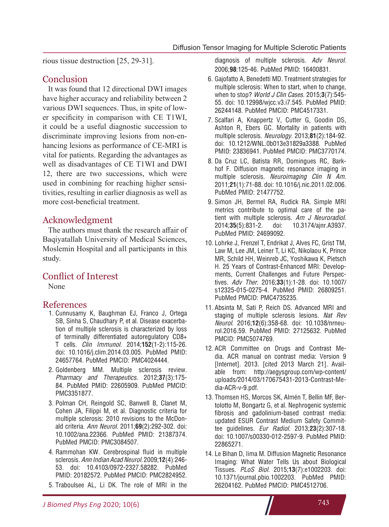rious tissue destruction [25, 29-31].

## Conclusion

It was found that 12 directional DWI images have higher accuracy and reliability between 2 various DWI sequences. Thus, in spite of lower specificity in comparison with CE T1WI, it could be a useful diagnostic succession to discriminate improving lesions from non-enhancing lesions as performance of CE-MRI is vital for patients. Regarding the advantages as well as disadvantages of CE T1WI and DWI 12, there are two successions, which were used in combining for reaching higher sensitivities, resulting in earlier diagnosis as well as more cost-beneficial treatment.

## Acknowledgment

The authors must thank the research affair of Baqiyatallah University of Medical Sciences, Moslemin Hospital and all participants in this study.

## Conflict of Interest

None

## References

- 1. Cunnusamy K, Baughman EJ, Franco J, Ortega SB, Sinha S, Chaudhary P, et al. Disease exacerbation of multiple sclerosis is characterized by loss of terminally differentiated autoregulatory CD8+ T cells. *Clin Immunol.* 2014;**152**(1-2):115-26. doi: 10.1016/j.clim.2014.03.005. PubMed PMID: 24657764. PubMed PMCID: PMC4024444.
- 2. Goldenberg MM. Multiple sclerosis review. *Pharmacy and Therapeutics.* 2012;**37**(3):175- 84. PubMed PMID: 22605909. PubMed PMCID: PMC3351877.
- 3. Polman CH, Reingold SC, Banwell B, Clanet M, Cohen JA, Filippi M, et al. Diagnostic criteria for multiple sclerosis: 2010 revisions to the McDonald criteria. *Ann Neurol*. 2011;**69**(2):292-302. doi: 10.1002/ana.22366. PubMed PMID: 21387374. PubMed PMCID: PMC3084507.
- 4. Rammohan KW. Cerebrospinal fluid in multiple sclerosis. *Ann Indian Acad Neurol.* 2009;**12**(4):246- 53. doi: 10.4103/0972-2327.58282. PubMed PMID: 20182572. PubMed PMCID: PMC2824952.
- 5. Traboulsee AL, Li DK. The role of MRI in the

diagnosis of multiple sclerosis. *Adv Neurol.* 2006;**98**:125-46. PubMed PMID: 16400831.

- 6. Gajofatto A, Benedetti MD. Treatment strategies for multiple sclerosis: When to start, when to change, when to stop? *World J Clin Cases*. 2015;**3**(7):545- 55. doi: 10.12998/wjcc.v3.i7.545. PubMed PMID: 26244148. PubMed PMCID: PMC4517331.
- 7. Scalfari A, Knappertz V, Cutter G, Goodin DS, Ashton R, Ebers GC. Mortality in patients with multiple sclerosis. *Neurology.* 2013;**81**(2):184-92. doi: 10.1212/WNL.0b013e31829a3388. PubMed PMID: 23836941. PubMed PMCID: PMC3770174.
- 8. Da Cruz LC, Batista RR, Domingues RC, Barkhof F. Diffusion magnetic resonance imaging in multiple sclerosis. *Neuroimaging Clin N Am*. 2011;**21**(1):71-88. doi: 10.1016/j.nic.2011.02.006. PubMed PMID: 21477752.
- 9. Simon JH, Bermel RA, Rudick RA. Simple MRI metrics contribute to optimal care of the patient with multiple sclerosis. *Am J Neuroradiol.*  2014;**35**(5):831-2. doi: 10.3174/ajnr.A3937. PubMed PMID: 24699092.
- 10. Lohrke J, Frenzel T, Endrikat J, Alves FC, Grist TM, Law M, Lee JM, Leiner T, Li KC, Nikolaou K, Prince MR, Schild HH, Weinreb JC, Yoshikawa K, Pietsch H. 25 Years of Contrast-Enhanced MRI: Developments, Current Challenges and Future Perspectives. *Adv Ther.* 2016;**33**(1):1-28. doi: 10.1007/ s12325-015-0275-4. PubMed PMID: 26809251. PubMed PMCID: PMC4735235.
- 11. Absinta M, Sati P, Reich DS. Advanced MRI and staging of multiple sclerosis lesions. *Nat Rev Neurol*. 2016;**12**(6):358-68. doi: 10.1038/nrneurol.2016.59. PubMed PMID: 27125632. PubMed PMCID: PMC5074769.
- 12. ACR Committee on Drugs and Contrast Media. ACR manual on contrast media: Version 9 [Internet]. 2013. [cited 2013 March 21]. Available from: http://aegysgroup.com/wp-content/ uploads/2014/03/170675431-2013-Contrast-Media-ACR-v-9.pdf.
- 13. Thomsen HS, Morcos SK, Almén T, Bellin MF, Bertolotto M, Bongartz G, et al. Nephrogenic systemic fibrosis and gadolinium-based contrast media: updated ESUR Contrast Medium Safety Committee guidelines. *Eur Radiol.* 2013;**23**(2):307-18. doi: 10.1007/s00330-012-2597-9. PubMed PMID: 22865271.
- 14. Le Bihan D, Iima M. Diffusion Magnetic Resonance Imaging: What Water Tells Us about Biological Tissues. *PLoS Biol.* 2015;**13**(7):e1002203. doi: 10.1371/journal.pbio.1002203. PubMed PMID: 26204162. PubMed PMCID: PMC4512706.